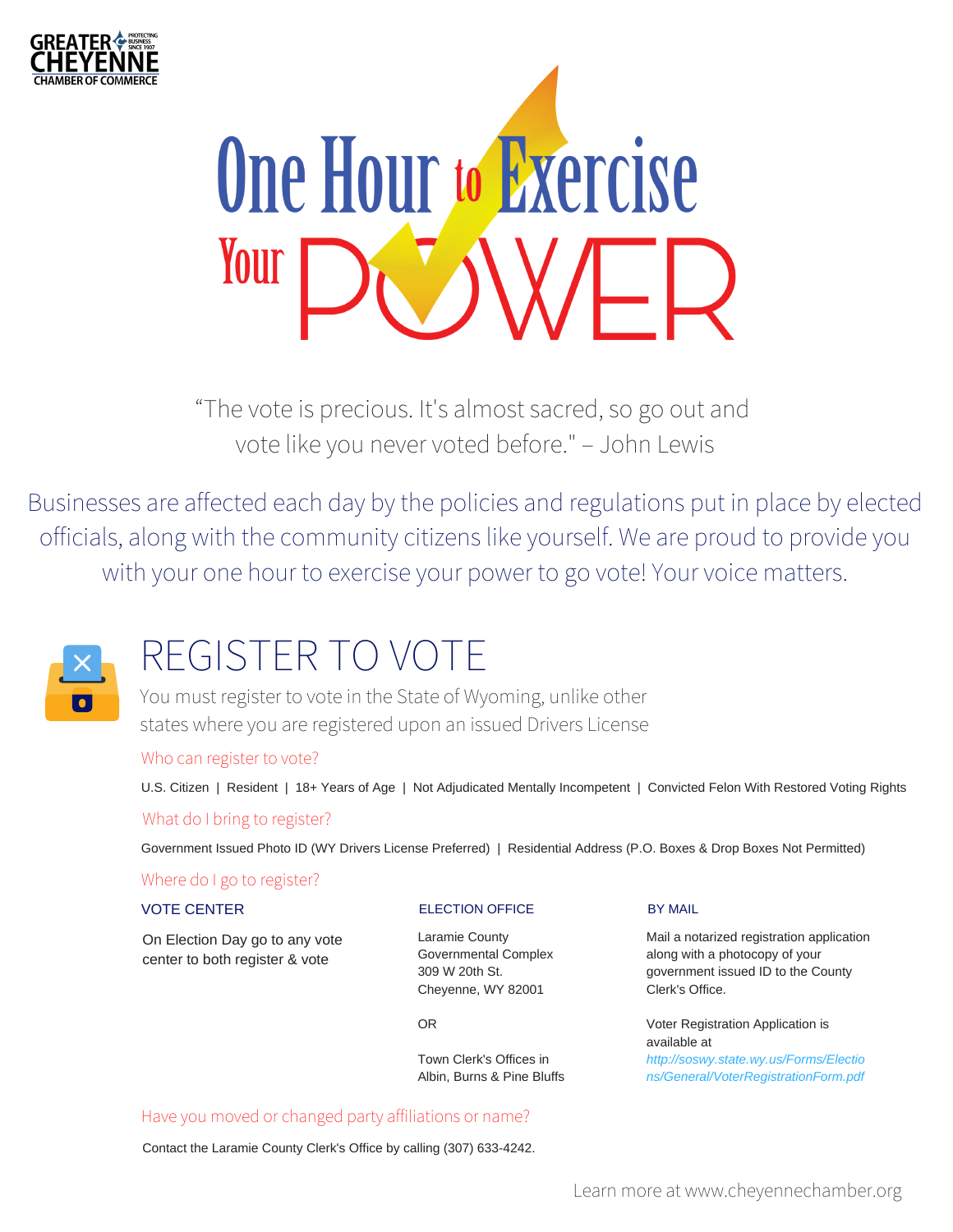



"The vote is precious. It's almost sacred, so go out and vote like you never voted before." – John Lewis

Businesses are affected each day by the policies and regulations put in place by elected officials, along with the community citizens like yourself. We are proud to provide you with your one hour to exercise your power to go vote! Your voice matters.



# REGISTER TO VOTE

You must register to vote in the State of Wyoming, unlike other states where you are registered upon an issued Drivers License

### Who can register to vote?

U.S. Citizen | Resident | 18+ Years of Age | Not Adjudicated Mentally Incompetent | Convicted Felon With Restored Voting Rights What do I bring to register?

Government Issued Photo ID (WY Drivers License Preferred) | Residential Address (P.O. Boxes & Drop Boxes Not Permitted)

### Where do I go to register?

### VOTE CENTER

On Election Day go to any vote center to both register & vote

### ELECTION OFFICE

Laramie County Governmental Complex 309 W 20th St. Cheyenne, WY 82001

OR

Town Clerk's Offices in Albin, Burns & Pine Bluffs

### Have you moved or changed party affiliations or name?

Contact the Laramie County Clerk's Office by calling (307) 633-4242.

#### BY MAIL

Mail a notarized registration application along with a photocopy of your government issued ID to the County Clerk's Office.

Voter Registration Application is available at *http://soswy.state.wy.us/Forms/Electio ns/General/VoterRegistrationForm.pdf*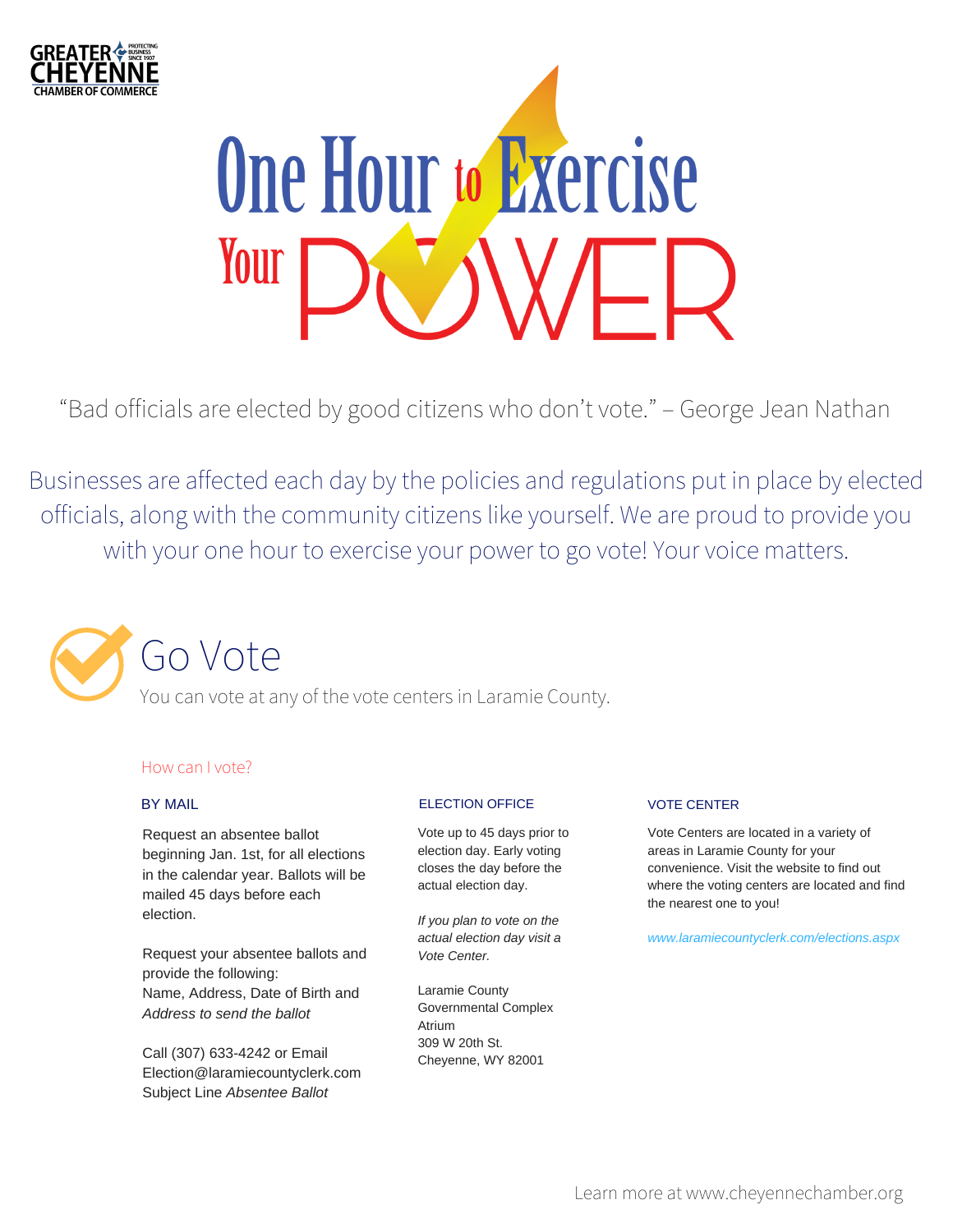



"Bad officials are elected by good citizens who don't vote." – George Jean Nathan

Businesses are affected each day by the policies and regulations put in place by elected officials, along with the community citizens like yourself. We are proud to provide you with your one hour to exercise your power to go vote! Your voice matters.



### How can I vote?

#### BY MAIL

Request an absentee ballot beginning Jan. 1st, for all elections in the calendar year. Ballots will be mailed 45 days before each election.

Request your absentee ballots and provide the following: Name, Address, Date of Birth and *Address to send the ballot*

Call (307) 633-4242 or Email Election@laramiecountyclerk.com Subject Line *Absentee Ballot*

#### ELECTION OFFICE

Vote up to 45 days prior to election day. Early voting closes the day before the actual election day.

*If you plan to vote on the actual election day visit a Vote Center.*

Laramie County Governmental Complex Atrium 309 W 20th St. Cheyenne, WY 82001

#### VOTE CENTER

Vote Centers are located in a variety of areas in Laramie County for your convenience. Visit the website to find out where the voting centers are located and find the nearest one to you!

*www.laramiecountyclerk.com/elections.aspx*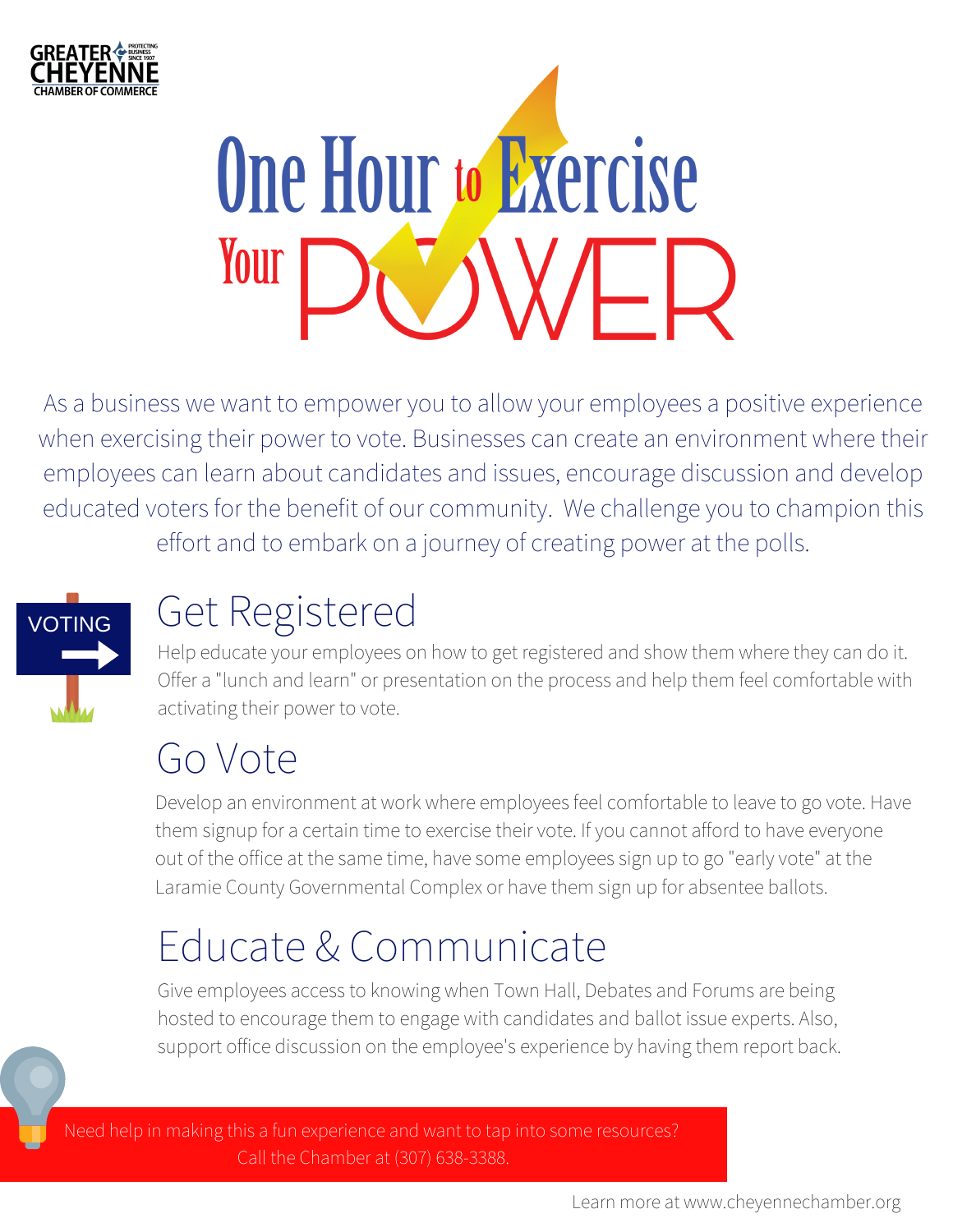

# **One Hour to Exercise** Your WWFD

As a business we want to empower you to allow your employees a positive experience when exercising their power to vote. Businesses can create an environment where their employees can learn about candidates and issues, encourage discussion and develop educated voters for the benefit of our community. We challenge you to champion this effort and to embark on a journey of creating power at the polls.



# Get Registered

Help educate your employees on how to get registered and show them where they can do it. Offer a "lunch and learn" or presentation on the process and help them feel comfortable with activating their power to vote.

# Go Vote

Develop an environment at work where employees feel comfortable to leave to go vote. Have them signup for a certain time to exercise their vote. If you cannot afford to have everyone out of the office at the same time, have some employees sign up to go "early vote" at the Laramie County Governmental Complex or have them sign up for absentee ballots.

# Educate & Communicate

Give employees access to knowing when Town Hall, Debates and Forums are being hosted to encourage them to engage with candidates and ballot issue experts. Also, support office discussion on the employee's experience by having them report back.



Need help in making this a fun experience and want to tap into some resources? Call the Chamber at (307) 638-3388.